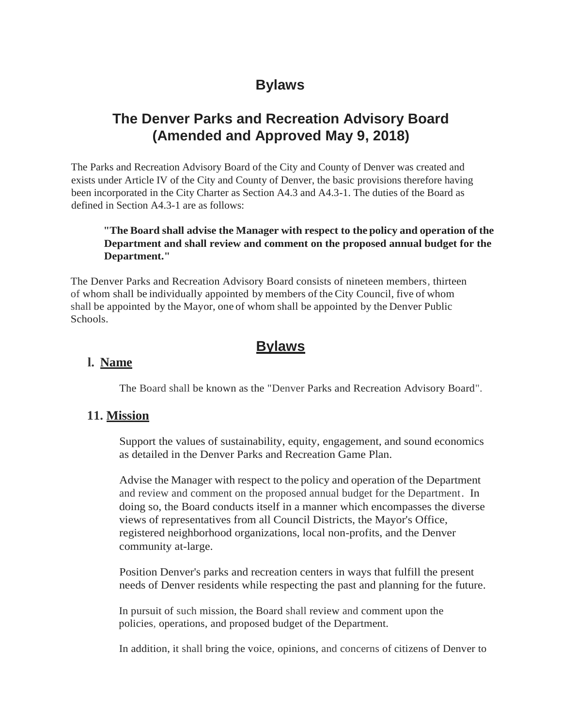# **Bylaws**

## **The Denver Parks and Recreation Advisory Board (Amended and Approved May 9, 2018)**

The Parks and Recreation Advisory Board of the City and County of Denver was created and exists under Article IV of the City and County of Denver, the basic provisions therefore having been incorporated in the City Charter as Section A4.3 and A4.3-1. The duties of the Board as defined in Section A4.3-1 are as follows:

#### **"The Board shall advise the Manager with respect to the policy and operation of the Department and shall review and comment on the proposed annual budget for the Department."**

The Denver Parks and Recreation Advisory Board consists of nineteen members, thirteen of whom shall be individually appointed by members of the City Council, five of whom shall be appointed by the Mayor, one of whom shall be appointed by the Denver Public Schools.

## **Bylaws**

#### **l. Name**

The Board shall be known as the "Denver Parks and Recreation Advisory Board".

#### **11. Mission**

Support the values of sustainability, equity, engagement, and sound economics as detailed in the Denver Parks and Recreation Game Plan.

Advise the Manager with respect to the policy and operation of the Department and review and comment on the proposed annual budget for the Department. In doing so, the Board conducts itself in a manner which encompasses the diverse views of representatives from all Council Districts, the Mayor's Office, registered neighborhood organizations, local non-profits, and the Denver community at-large.

Position Denver's parks and recreation centers in ways that fulfill the present needs of Denver residents while respecting the past and planning for the future.

In pursuit of such mission, the Board shall review and comment upon the policies, operations, and proposed budget of the Department.

In addition, it shall bring the voice, opinions, and concerns of citizens of Denver to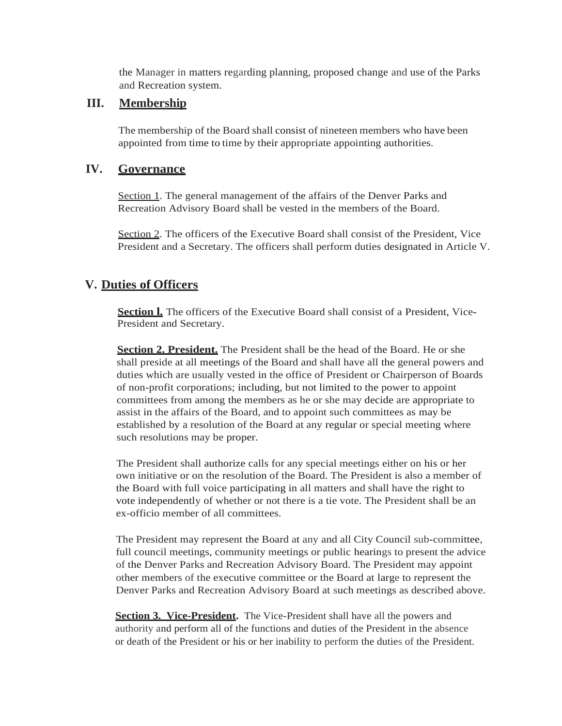the Manager in matters regarding planning, proposed change and use of the Parks and Recreation system.

#### **III. Membership**

The membership of the Board shall consist of nineteen members who have been appointed from time to time by their appropriate appointing authorities.

### **IV. Governance**

Section 1. The general management of the affairs of the Denver Parks and Recreation Advisory Board shall be vested in the members of the Board.

Section 2. The officers of the Executive Board shall consist of the President, Vice President and a Secretary. The officers shall perform duties designated in Article V.

## **V. Duties of Officers**

**Section <b>l.** The officers of the Executive Board shall consist of a President, Vice-President and Secretary.

**Section 2. President.** The President shall be the head of the Board. He or she shall preside at all meetings of the Board and shall have all the general powers and duties which are usually vested in the office of President or Chairperson of Boards of non-profit corporations; including, but not limited to the power to appoint committees from among the members as he or she may decide are appropriate to assist in the affairs of the Board, and to appoint such committees as may be established by a resolution of the Board at any regular or special meeting where such resolutions may be proper.

The President shall authorize calls for any special meetings either on his or her own initiative or on the resolution of the Board. The President is also a member of the Board with full voice participating in all matters and shall have the right to vote independently of whether or not there is a tie vote. The President shall be an ex-officio member of all committees.

The President may represent the Board at any and all City Council sub-committee, full council meetings, community meetings or public hearings to present the advice of the Denver Parks and Recreation Advisory Board. The President may appoint other members of the executive committee or the Board at large to represent the Denver Parks and Recreation Advisory Board at such meetings as described above.

**Section 3. Vice-President.** The Vice-President shall have all the powers and authority and perform all of the functions and duties of the President in the absence or death of the President or his or her inability to perform the duties of the President.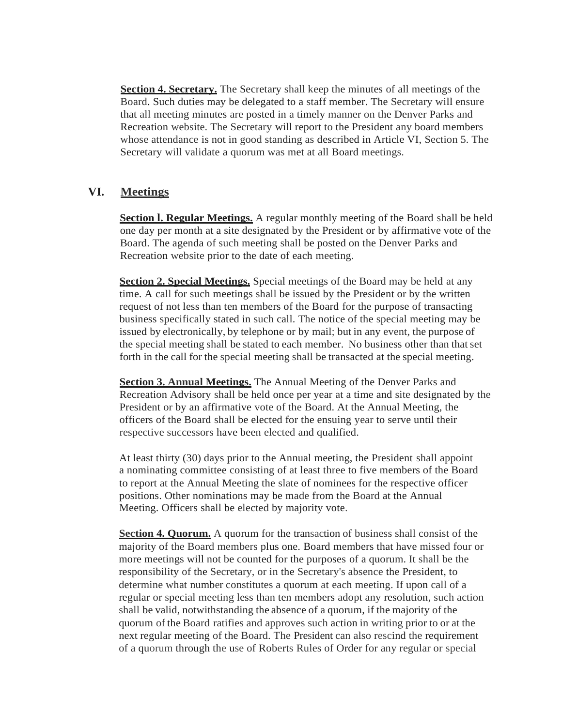**Section 4. Secretary.** The Secretary shall keep the minutes of all meetings of the Board. Such duties may be delegated to a staff member. The Secretary will ensure that all meeting minutes are posted in a timely manner on the Denver Parks and Recreation website. The Secretary will report to the President any board members whose attendance is not in good standing as described in Article VI, Section 5. The Secretary will validate a quorum was met at all Board meetings.

#### **VI. Meetings**

**Section** *l.* **Regular Meetings.** A regular monthly meeting of the Board shall be held one day per month at a site designated by the President or by affirmative vote of the Board. The agenda of such meeting shall be posted on the Denver Parks and Recreation website prior to the date of each meeting.

**Section 2. Special Meetings.** Special meetings of the Board may be held at any time. A call for such meetings shall be issued by the President or by the written request of not less than ten members of the Board for the purpose of transacting business specifically stated in such call. The notice of the special meeting may be issued by electronically, by telephone or by mail; but in any event, the purpose of the special meeting shall be stated to each member. No business other than thatset forth in the call for the special meeting shall be transacted at the special meeting.

**Section 3. Annual Meetings.** The Annual Meeting of the Denver Parks and Recreation Advisory shall be held once per year at a time and site designated by the President or by an affirmative vote of the Board. At the Annual Meeting, the officers of the Board shall be elected for the ensuing year to serve until their respective successors have been elected and qualified.

At least thirty (30) days prior to the Annual meeting, the President shall appoint a nominating committee consisting of at least three to five members of the Board to report at the Annual Meeting the slate of nominees for the respective officer positions. Other nominations may be made from the Board at the Annual Meeting. Officers shall be elected by majority vote.

**Section 4. Ouorum.** A quorum for the transaction of business shall consist of the majority of the Board members plus one. Board members that have missed four or more meetings will not be counted for the purposes of a quorum. It shall be the responsibility of the Secretary, or in the Secretary's absence the President, to determine what number constitutes a quorum at each meeting. If upon call of a regular or special meeting less than ten members adopt any resolution, such action shall be valid, notwithstanding the absence of a quorum, if the majority of the quorum of the Board ratifies and approves such action in writing prior to or at the next regular meeting of the Board. The President can also rescind the requirement of a quorum through the use of Roberts Rules of Order for any regular or special